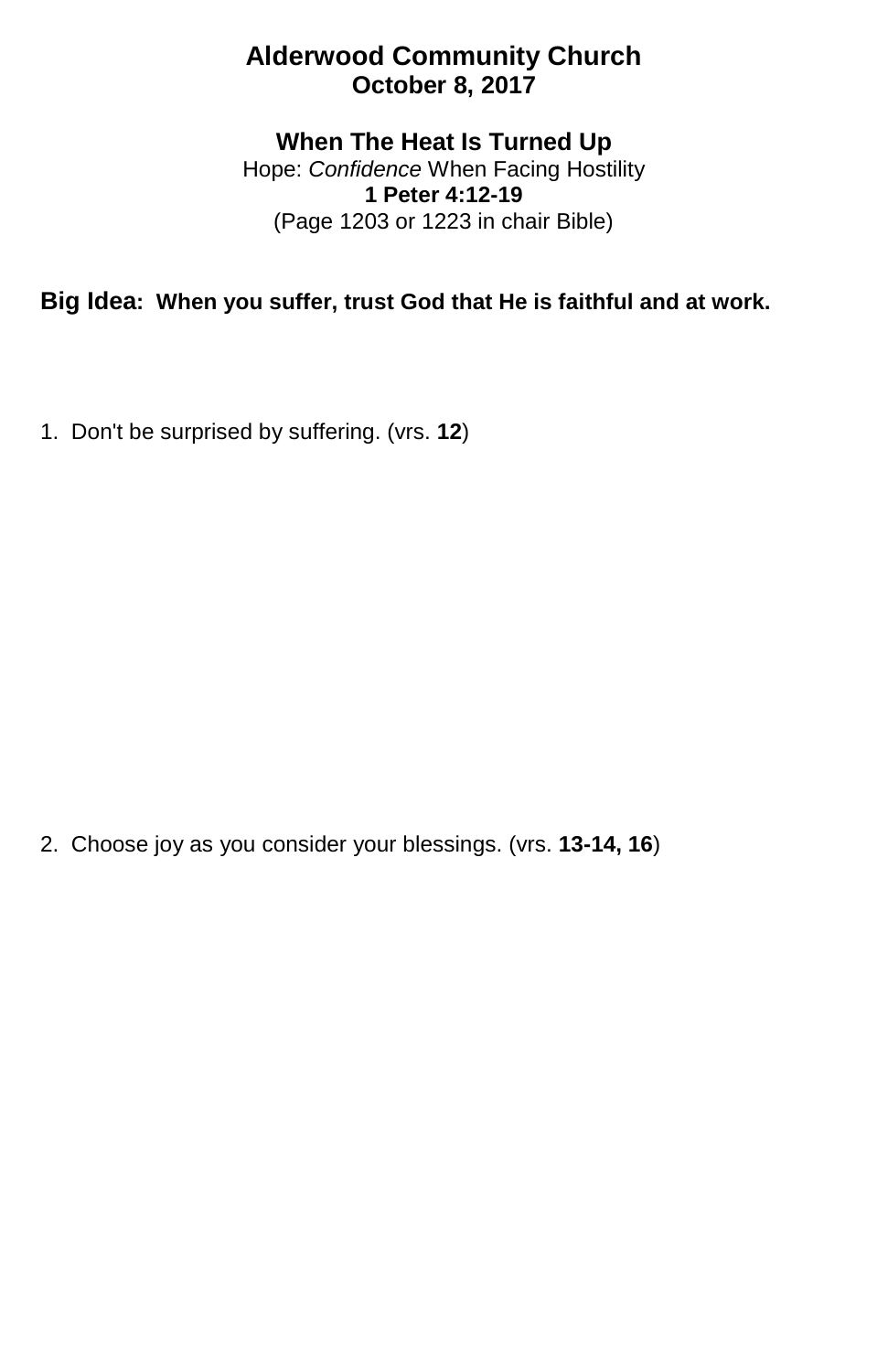## **Alderwood Community Church October 8, 2017**

## **When The Heat Is Turned Up**

Hope: *Confidence* When Facing Hostility **1 Peter 4:12-19** (Page 1203 or 1223 in chair Bible)

**Big Idea: When you suffer, trust God that He is faithful and at work.**

1. Don't be surprised by suffering. (vrs. **12**)

2. Choose joy as you consider your blessings. (vrs. **13-14, 16**)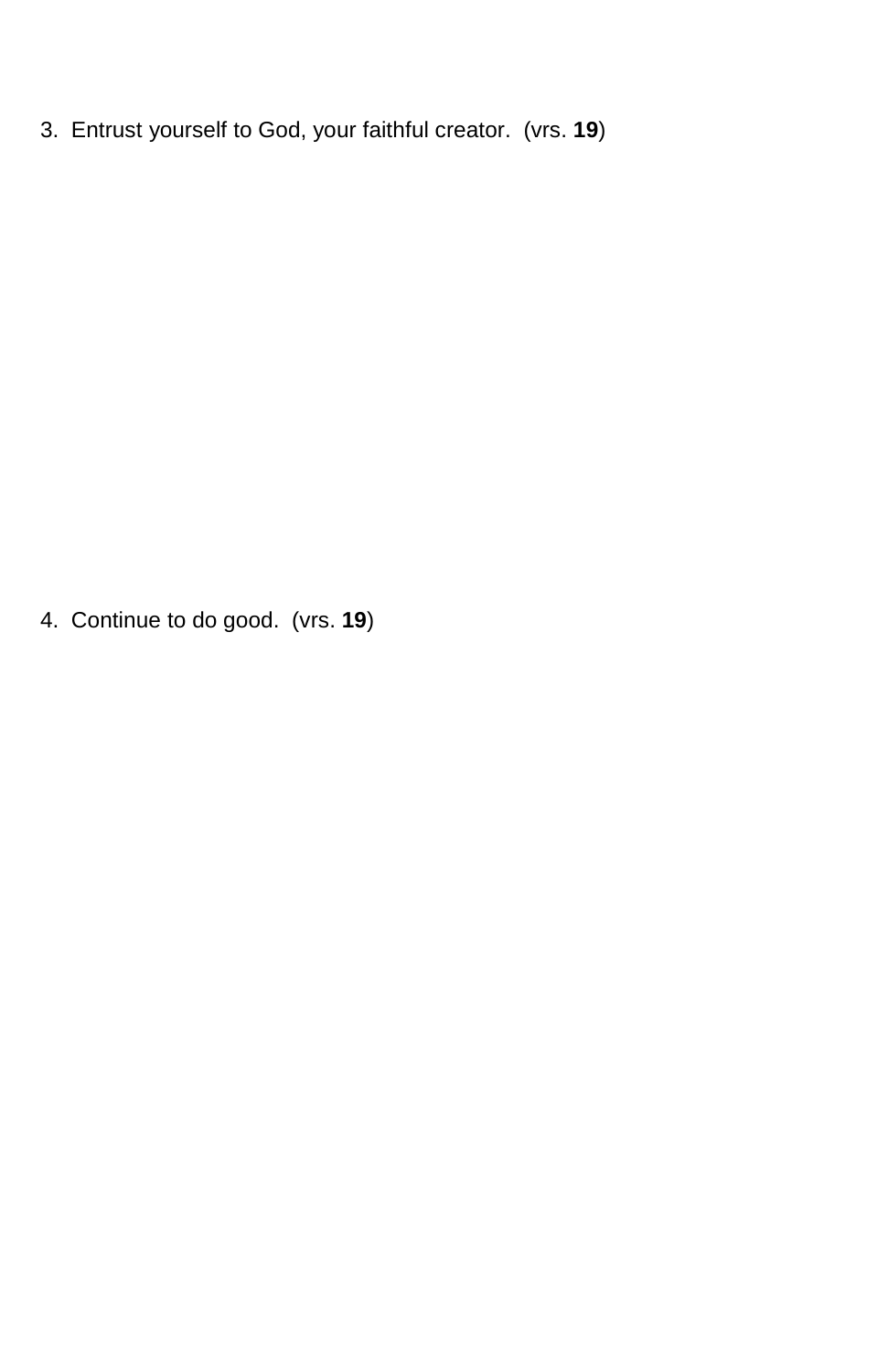3. Entrust yourself to God, your faithful creator. (vrs. **19**)

4. Continue to do good. (vrs. **19**)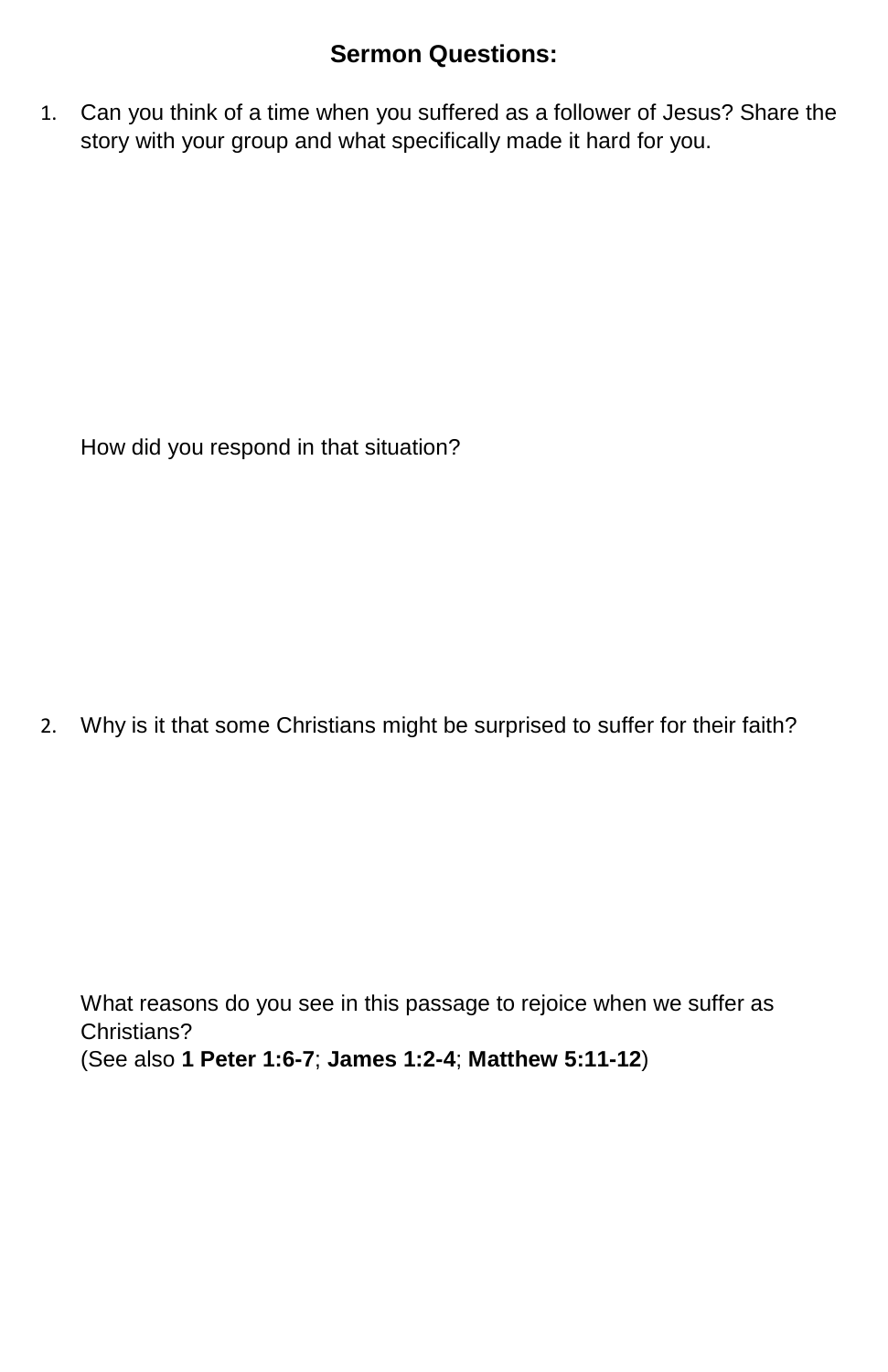## **Sermon Questions:**

1. Can you think of a time when you suffered as a follower of Jesus? Share the story with your group and what specifically made it hard for you.

How did you respond in that situation?

2. Why is it that some Christians might be surprised to suffer for their faith?

What reasons do you see in this passage to rejoice when we suffer as Christians? (See also **1 Peter 1:6-7**; **James 1:2-4**; **Matthew 5:11-12**)